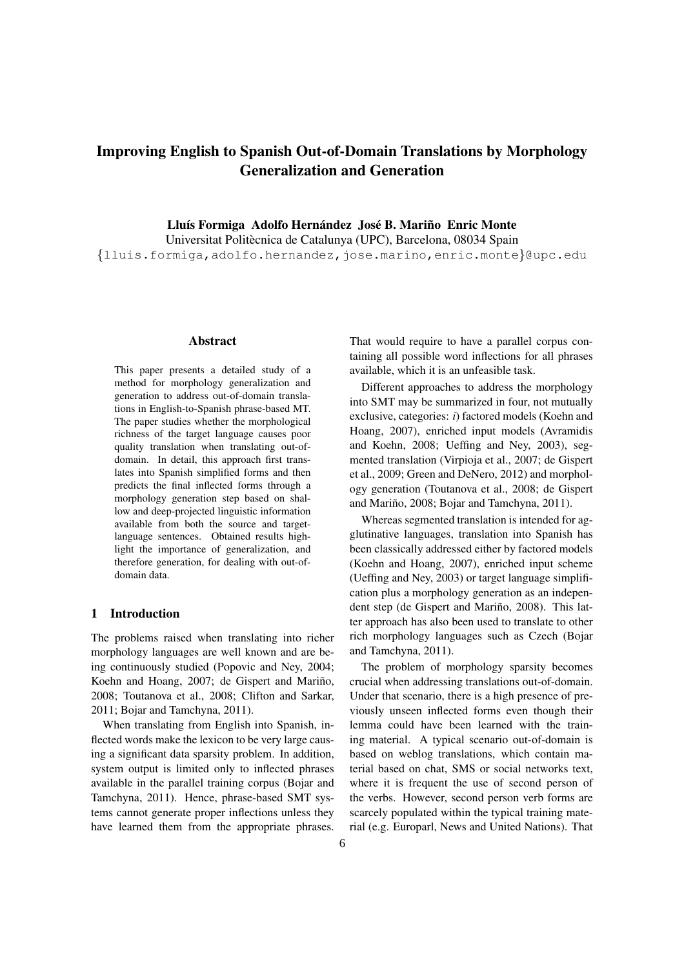# Improving English to Spanish Out-of-Domain Translations by Morphology Generalization and Generation

Lluís Formiga Adolfo Hernández José B. Mariño Enric Monte

Universitat Politècnica de Catalunya (UPC), Barcelona, 08034 Spain *{*lluis.formiga,adolfo.hernandez,jose.marino,enric.monte*}*@upc.edu

#### Abstract

This paper presents a detailed study of a method for morphology generalization and generation to address out-of-domain translations in English-to-Spanish phrase-based MT. The paper studies whether the morphological richness of the target language causes poor quality translation when translating out-ofdomain. In detail, this approach first translates into Spanish simplified forms and then predicts the final inflected forms through a morphology generation step based on shallow and deep-projected linguistic information available from both the source and targetlanguage sentences. Obtained results highlight the importance of generalization, and therefore generation, for dealing with out-ofdomain data.

# 1 Introduction

The problems raised when translating into richer morphology languages are well known and are being continuously studied (Popovic and Ney, 2004; Koehn and Hoang, 2007; de Gispert and Mariño, 2008; Toutanova et al., 2008; Clifton and Sarkar, 2011; Bojar and Tamchyna, 2011).

When translating from English into Spanish, inflected words make the lexicon to be very large causing a significant data sparsity problem. In addition, system output is limited only to inflected phrases available in the parallel training corpus (Bojar and Tamchyna, 2011). Hence, phrase-based SMT systems cannot generate proper inflections unless they have learned them from the appropriate phrases.

That would require to have a parallel corpus containing all possible word inflections for all phrases available, which it is an unfeasible task.

Different approaches to address the morphology into SMT may be summarized in four, not mutually exclusive, categories: *i*) factored models (Koehn and Hoang, 2007), enriched input models (Avramidis and Koehn, 2008; Ueffing and Ney, 2003), segmented translation (Virpioja et al., 2007; de Gispert et al., 2009; Green and DeNero, 2012) and morphology generation (Toutanova et al., 2008; de Gispert and Mariño, 2008; Bojar and Tamchyna, 2011).

Whereas segmented translation is intended for agglutinative languages, translation into Spanish has been classically addressed either by factored models (Koehn and Hoang, 2007), enriched input scheme (Ueffing and Ney, 2003) or target language simplification plus a morphology generation as an independent step (de Gispert and Mariño, 2008). This latter approach has also been used to translate to other rich morphology languages such as Czech (Bojar and Tamchyna, 2011).

The problem of morphology sparsity becomes crucial when addressing translations out-of-domain. Under that scenario, there is a high presence of previously unseen inflected forms even though their lemma could have been learned with the training material. A typical scenario out-of-domain is based on weblog translations, which contain material based on chat, SMS or social networks text, where it is frequent the use of second person of the verbs. However, second person verb forms are scarcely populated within the typical training material (e.g. Europarl, News and United Nations). That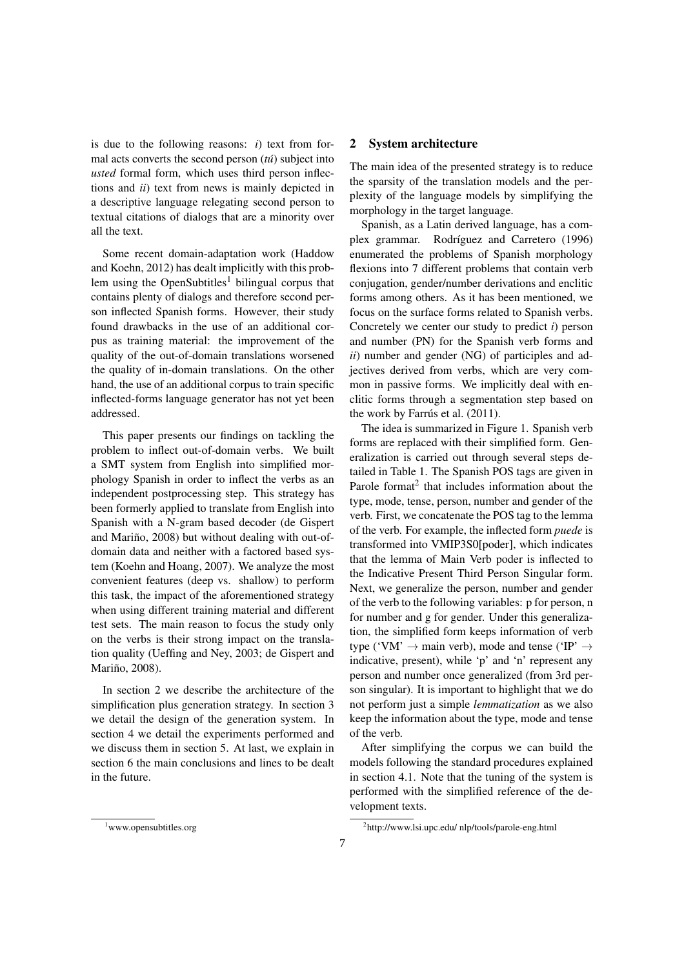is due to the following reasons: *i*) text from formal acts converts the second person (*tu´*) subject into *usted* formal form, which uses third person inflections and *ii*) text from news is mainly depicted in a descriptive language relegating second person to textual citations of dialogs that are a minority over all the text.

Some recent domain-adaptation work (Haddow and Koehn, 2012) has dealt implicitly with this problem using the OpenSubtitles<sup>1</sup> bilingual corpus that contains plenty of dialogs and therefore second person inflected Spanish forms. However, their study found drawbacks in the use of an additional corpus as training material: the improvement of the quality of the out-of-domain translations worsened the quality of in-domain translations. On the other hand, the use of an additional corpus to train specific inflected-forms language generator has not yet been addressed.

This paper presents our findings on tackling the problem to inflect out-of-domain verbs. We built a SMT system from English into simplified morphology Spanish in order to inflect the verbs as an independent postprocessing step. This strategy has been formerly applied to translate from English into Spanish with a N-gram based decoder (de Gispert and Mariño, 2008) but without dealing with out-ofdomain data and neither with a factored based system (Koehn and Hoang, 2007). We analyze the most convenient features (deep vs. shallow) to perform this task, the impact of the aforementioned strategy when using different training material and different test sets. The main reason to focus the study only on the verbs is their strong impact on the translation quality (Ueffing and Ney, 2003; de Gispert and Mariño, 2008).

In section 2 we describe the architecture of the simplification plus generation strategy. In section 3 we detail the design of the generation system. In section 4 we detail the experiments performed and we discuss them in section 5. At last, we explain in section 6 the main conclusions and lines to be dealt in the future.

# 2 System architecture

The main idea of the presented strategy is to reduce the sparsity of the translation models and the perplexity of the language models by simplifying the morphology in the target language.

Spanish, as a Latin derived language, has a complex grammar. Rodríguez and Carretero (1996) enumerated the problems of Spanish morphology flexions into 7 different problems that contain verb conjugation, gender/number derivations and enclitic forms among others. As it has been mentioned, we focus on the surface forms related to Spanish verbs. Concretely we center our study to predict *i*) person and number (PN) for the Spanish verb forms and *ii*) number and gender (NG) of participles and adjectives derived from verbs, which are very common in passive forms. We implicitly deal with enclitic forms through a segmentation step based on the work by Farrús et al.  $(2011)$ .

The idea is summarized in Figure 1. Spanish verb forms are replaced with their simplified form. Generalization is carried out through several steps detailed in Table 1. The Spanish POS tags are given in Parole format<sup>2</sup> that includes information about the type, mode, tense, person, number and gender of the verb. First, we concatenate the POS tag to the lemma of the verb. For example, the inflected form *puede* is transformed into VMIP3S0[poder], which indicates that the lemma of Main Verb poder is inflected to the Indicative Present Third Person Singular form. Next, we generalize the person, number and gender of the verb to the following variables: p for person, n for number and g for gender. Under this generalization, the simplified form keeps information of verb type ('VM'  $\rightarrow$  main verb), mode and tense ('IP'  $\rightarrow$ indicative, present), while 'p' and 'n' represent any person and number once generalized (from 3rd person singular). It is important to highlight that we do not perform just a simple *lemmatization* as we also keep the information about the type, mode and tense of the verb.

After simplifying the corpus we can build the models following the standard procedures explained in section 4.1. Note that the tuning of the system is performed with the simplified reference of the development texts.

<sup>1</sup> www.opensubtitles.org

<sup>2</sup> http://www.lsi.upc.edu/ nlp/tools/parole-eng.html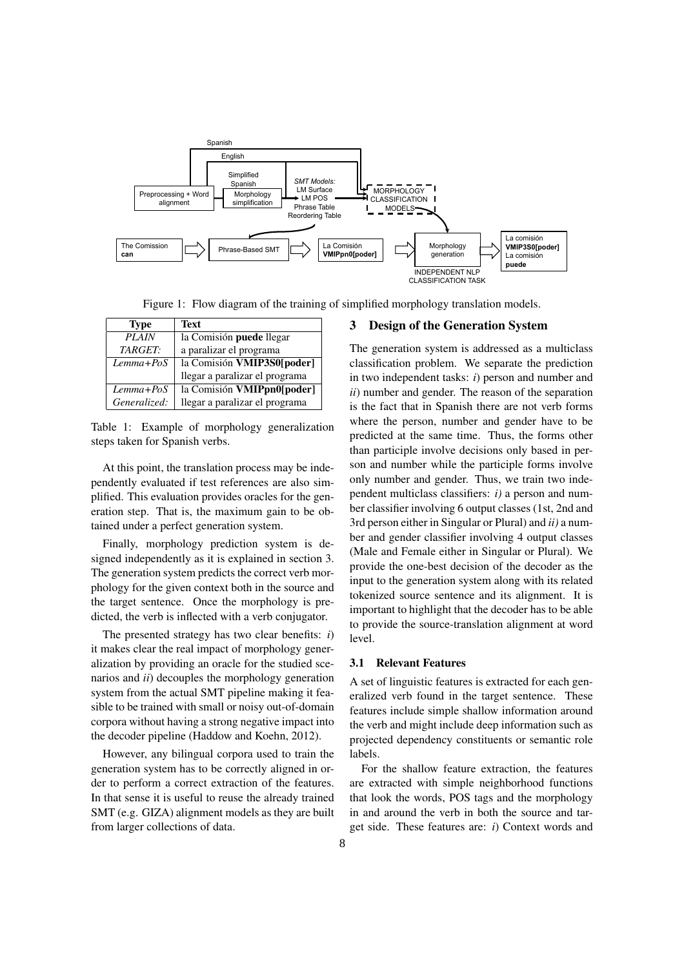

Figure 1: Flow diagram of the training of simplified morphology translation models.

| <b>Type</b>    | <b>Text</b>                     |
|----------------|---------------------------------|
| <b>PLAIN</b>   | la Comisión <b>puede</b> llegar |
| <b>TARGET:</b> | a paralizar el programa         |
| Lemma+PoS      | la Comisión VMIP3S0[poder]      |
|                | llegar a paralizar el programa  |
| Lemma+PoS      | la Comisión VMIPpn0[poder]      |
| Generalized:   | llegar a paralizar el programa  |

Table 1: Example of morphology generalization steps taken for Spanish verbs.

At this point, the translation process may be independently evaluated if test references are also simplified. This evaluation provides oracles for the generation step. That is, the maximum gain to be obtained under a perfect generation system.

Finally, morphology prediction system is designed independently as it is explained in section 3. The generation system predicts the correct verb morphology for the given context both in the source and the target sentence. Once the morphology is predicted, the verb is inflected with a verb conjugator.

The presented strategy has two clear benefits: *i*) it makes clear the real impact of morphology generalization by providing an oracle for the studied scenarios and *ii*) decouples the morphology generation system from the actual SMT pipeline making it feasible to be trained with small or noisy out-of-domain corpora without having a strong negative impact into the decoder pipeline (Haddow and Koehn, 2012).

However, any bilingual corpora used to train the generation system has to be correctly aligned in order to perform a correct extraction of the features. In that sense it is useful to reuse the already trained SMT (e.g. GIZA) alignment models as they are built from larger collections of data.

## 3 Design of the Generation System

The generation system is addressed as a multiclass classification problem. We separate the prediction in two independent tasks: *i*) person and number and *ii*) number and gender. The reason of the separation is the fact that in Spanish there are not verb forms where the person, number and gender have to be predicted at the same time. Thus, the forms other than participle involve decisions only based in person and number while the participle forms involve only number and gender. Thus, we train two independent multiclass classifiers: *i)* a person and number classifier involving 6 output classes (1st, 2nd and 3rd person either in Singular or Plural) and *ii)* a number and gender classifier involving 4 output classes (Male and Female either in Singular or Plural). We provide the one-best decision of the decoder as the input to the generation system along with its related tokenized source sentence and its alignment. It is important to highlight that the decoder has to be able to provide the source-translation alignment at word level.

#### 3.1 Relevant Features

A set of linguistic features is extracted for each generalized verb found in the target sentence. These features include simple shallow information around the verb and might include deep information such as projected dependency constituents or semantic role labels.

For the shallow feature extraction, the features are extracted with simple neighborhood functions that look the words, POS tags and the morphology in and around the verb in both the source and target side. These features are: *i*) Context words and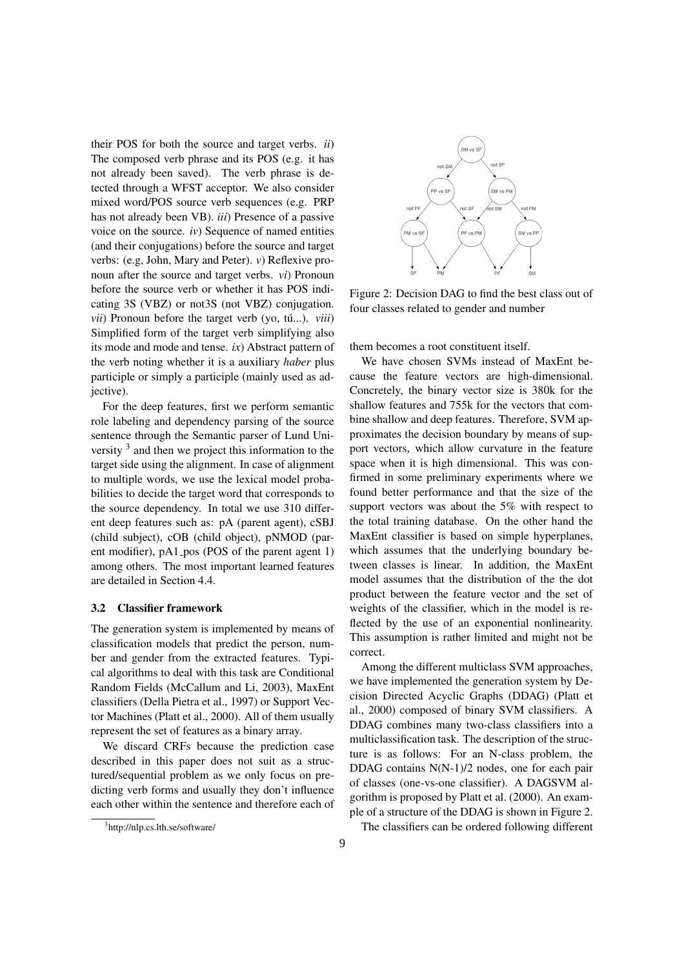their POS for both the source and target verbs. *ii*) The composed verb phrase and its POS (e.g. it has not already been saved). The verb phrase is detected through a WFST acceptor. We also consider mixed word/POS source verb sequences (e.g. PRP has not already been VB). *iii*) Presence of a passive voice on the source. *iv*) Sequence of named entities (and their conjugations) before the source and target verbs: (e.g, John, Mary and Peter). *v*) Reflexive pronoun after the source and target verbs. *vi*) Pronoun before the source verb or whether it has POS indicating 3S (VBZ) or not3S (not VBZ) conjugation.  $vii$ ) Pronoun before the target verb (yo, tú...).  $viii$ ) Simplified form of the target verb simplifying also its mode and mode and tense. *ix*) Abstract pattern of the verb noting whether it is a auxiliary *haber* plus participle or simply a participle (mainly used as adjective).

For the deep features, first we perform semantic role labeling and dependency parsing of the source sentence through the Semantic parser of Lund University <sup>3</sup> and then we project this information to the target side using the alignment. In case of alignment to multiple words, we use the lexical model probabilities to decide the target word that corresponds to the source dependency. In total we use 310 different deep features such as: pA (parent agent), cSBJ (child subject), cOB (child object), pNMOD (parent modifier),  $pA1_p cos (POS of the parent agent 1)$ among others. The most important learned features are detailed in Section 4.4.

#### 3.2 Classifier framework

The generation system is implemented by means of classification models that predict the person, number and gender from the extracted features. Typical algorithms to deal with this task are Conditional Random Fields (McCallum and Li, 2003), MaxEnt classifiers (Della Pietra et al., 1997) or Support Vector Machines (Platt et al., 2000). All of them usually represent the set of features as a binary array.

We discard CRFs because the prediction case described in this paper does not suit as a structured/sequential problem as we only focus on predicting verb forms and usually they don't influence each other within the sentence and therefore each of



Figure 2: Decision DAG to find the best class out of four classes related to gender and number

them becomes a root constituent itself.

We have chosen SVMs instead of MaxEnt because the feature vectors are high-dimensional. Concretely, the binary vector size is 380k for the shallow features and 755k for the vectors that combine shallow and deep features. Therefore, SVM approximates the decision boundary by means of support vectors, which allow curvature in the feature space when it is high dimensional. This was confirmed in some preliminary experiments where we found better performance and that the size of the support vectors was about the 5% with respect to the total training database. On the other hand the MaxEnt classifier is based on simple hyperplanes, which assumes that the underlying boundary between classes is linear. In addition, the MaxEnt model assumes that the distribution of the the dot product between the feature vector and the set of weights of the classifier, which in the model is reflected by the use of an exponential nonlinearity. This assumption is rather limited and might not be correct.

Among the different multiclass SVM approaches, we have implemented the generation system by Decision Directed Acyclic Graphs (DDAG) (Platt et al., 2000) composed of binary SVM classifiers. A DDAG combines many two-class classifiers into a multiclassification task. The description of the structure is as follows: For an N-class problem, the DDAG contains N(N-1)/2 nodes, one for each pair of classes (one-vs-one classifier). A DAGSVM algorithm is proposed by Platt et al. (2000). An example of a structure of the DDAG is shown in Figure 2.

The classifiers can be ordered following different

<sup>3</sup> http://nlp.cs.lth.se/software/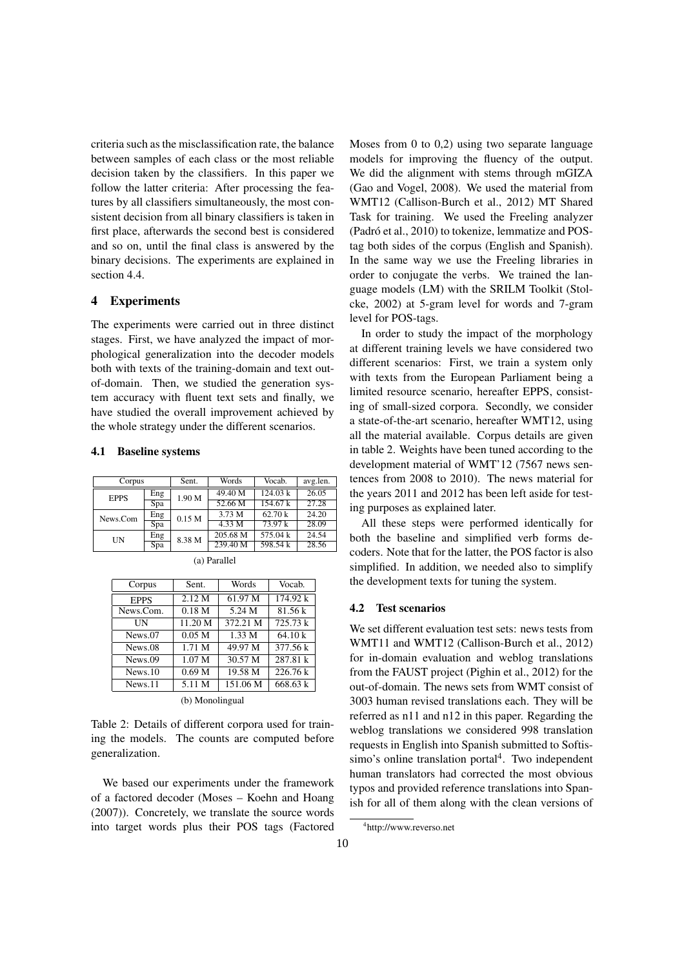criteria such as the misclassification rate, the balance between samples of each class or the most reliable decision taken by the classifiers. In this paper we follow the latter criteria: After processing the features by all classifiers simultaneously, the most consistent decision from all binary classifiers is taken in first place, afterwards the second best is considered and so on, until the final class is answered by the binary decisions. The experiments are explained in section 4.4.

# 4 Experiments

The experiments were carried out in three distinct stages. First, we have analyzed the impact of morphological generalization into the decoder models both with texts of the training-domain and text outof-domain. Then, we studied the generation system accuracy with fluent text sets and finally, we have studied the overall improvement achieved by the whole strategy under the different scenarios.

#### 4.1 Baseline systems

| Corpus      |     | Sent.             | Words    | Vocab.   | avg.len. |
|-------------|-----|-------------------|----------|----------|----------|
| <b>EPPS</b> | Eng | 1.90 M            | 49.40 M  | 124.03 k | 26.05    |
|             | Spa |                   | 52.66 M  | 154.67 k | 27.28    |
| News.Com    | Eng | 0.15 <sub>M</sub> | 3.73 M   | 62.70 k  | 24.20    |
|             | Spa |                   | 4.33 M   | 73.97k   | 28.09    |
| UN          | Eng | 8.38 M            | 205.68 M | 575.04 k | 24.54    |
|             | Spa |                   | 239.40 M | 598.54 k | 28.56    |

| Corpus      | Sent.             | Words    | Vocab.   |  |  |  |  |  |
|-------------|-------------------|----------|----------|--|--|--|--|--|
| <b>EPPS</b> | 2.12 M            | 61.97 M  | 174.92 k |  |  |  |  |  |
| News.Com.   | 0.18 <sub>M</sub> | 5.24 M   | 81.56 k  |  |  |  |  |  |
| UΝ          | 11.20 M           | 372.21 M | 725.73 k |  |  |  |  |  |
| News.07     | 0.05 <sub>M</sub> | 1.33 M   | 64.10 k  |  |  |  |  |  |
| News.08     | 1.71 M            | 49.97 M  | 377.56 k |  |  |  |  |  |
| News.09     | 1.07 <sub>M</sub> | 30.57 M  | 287.81 k |  |  |  |  |  |
| News.10     | 0.69 <sub>M</sub> | 19.58 M  | 226.76 k |  |  |  |  |  |
| News.11     | 5.11 M            | 151.06 M | 668.63 k |  |  |  |  |  |
|             | (b) Monolingual   |          |          |  |  |  |  |  |

(a) Parallel

Table 2: Details of different corpora used for training the models. The counts are computed before generalization.

We based our experiments under the framework of a factored decoder (Moses – Koehn and Hoang (2007)). Concretely, we translate the source words into target words plus their POS tags (Factored Moses from 0 to 0,2) using two separate language models for improving the fluency of the output. We did the alignment with stems through mGIZA (Gao and Vogel, 2008). We used the material from WMT12 (Callison-Burch et al., 2012) MT Shared Task for training. We used the Freeling analyzer (Padró et al., 2010) to tokenize, lemmatize and POStag both sides of the corpus (English and Spanish). In the same way we use the Freeling libraries in order to conjugate the verbs. We trained the language models (LM) with the SRILM Toolkit (Stolcke, 2002) at 5-gram level for words and 7-gram level for POS-tags.

In order to study the impact of the morphology at different training levels we have considered two different scenarios: First, we train a system only with texts from the European Parliament being a limited resource scenario, hereafter EPPS, consisting of small-sized corpora. Secondly, we consider a state-of-the-art scenario, hereafter WMT12, using all the material available. Corpus details are given in table 2. Weights have been tuned according to the development material of WMT'12 (7567 news sentences from 2008 to 2010). The news material for the years 2011 and 2012 has been left aside for testing purposes as explained later.

All these steps were performed identically for both the baseline and simplified verb forms decoders. Note that for the latter, the POS factor is also simplified. In addition, we needed also to simplify the development texts for tuning the system.

#### 4.2 Test scenarios

We set different evaluation test sets: news tests from WMT11 and WMT12 (Callison-Burch et al., 2012) for in-domain evaluation and weblog translations from the FAUST project (Pighin et al., 2012) for the out-of-domain. The news sets from WMT consist of 3003 human revised translations each. They will be referred as n11 and n12 in this paper. Regarding the weblog translations we considered 998 translation requests in English into Spanish submitted to Softissimo's online translation portal $4$ . Two independent human translators had corrected the most obvious typos and provided reference translations into Spanish for all of them along with the clean versions of

<sup>4</sup> http://www.reverso.net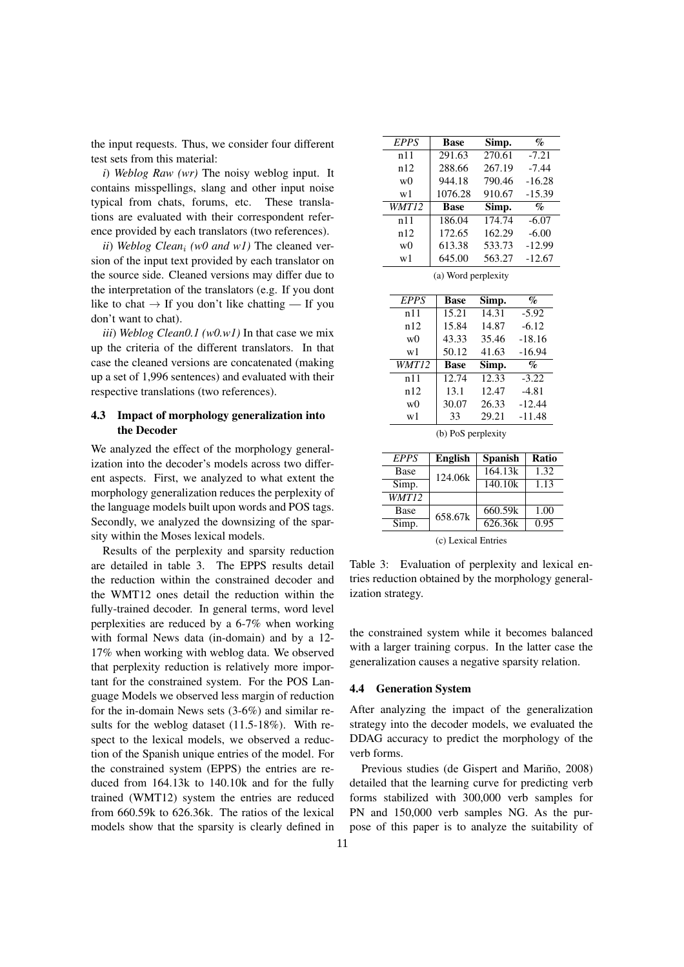the input requests. Thus, we consider four different test sets from this material:

*i*) *Weblog Raw (wr)* The noisy weblog input. It contains misspellings, slang and other input noise typical from chats, forums, etc. These translations are evaluated with their correspondent reference provided by each translators (two references).

*ii*) *Weblog Clean<sup>i</sup> (w0 and w1)* The cleaned version of the input text provided by each translator on the source side. Cleaned versions may differ due to the interpretation of the translators (e.g. If you dont like to chat  $\rightarrow$  If you don't like chatting — If you don't want to chat).

*iii*) *Weblog Clean0.1 (w0.w1)* In that case we mix up the criteria of the different translators. In that case the cleaned versions are concatenated (making up a set of 1,996 sentences) and evaluated with their respective translations (two references).

## 4.3 Impact of morphology generalization into the Decoder

We analyzed the effect of the morphology generalization into the decoder's models across two different aspects. First, we analyzed to what extent the morphology generalization reduces the perplexity of the language models built upon words and POS tags. Secondly, we analyzed the downsizing of the sparsity within the Moses lexical models.

Results of the perplexity and sparsity reduction are detailed in table 3. The EPPS results detail the reduction within the constrained decoder and the WMT12 ones detail the reduction within the fully-trained decoder. In general terms, word level perplexities are reduced by a 6-7% when working with formal News data (in-domain) and by a 12- 17% when working with weblog data. We observed that perplexity reduction is relatively more important for the constrained system. For the POS Language Models we observed less margin of reduction for the in-domain News sets (3-6%) and similar results for the weblog dataset (11.5-18%). With respect to the lexical models, we observed a reduction of the Spanish unique entries of the model. For the constrained system (EPPS) the entries are reduced from 164.13k to 140.10k and for the fully trained (WMT12) system the entries are reduced from 660.59k to 626.36k. The ratios of the lexical models show that the sparsity is clearly defined in

| EPPS           | Base        | Simp.  | $\%$                        |
|----------------|-------------|--------|-----------------------------|
| n11            | 291.63      | 270.61 | $-7.21$                     |
| n12            | 288.66      | 267.19 | $-7.44$                     |
| w <sub>0</sub> | 944.18      | 790.46 | $-16.28$                    |
| w1             | 1076.28     | 910.67 | $-15.39$                    |
| WMT12          | <b>Base</b> | Simp.  | $\mathcal{G}_{\mathcal{O}}$ |
| n11            | 186.04      | 174.74 | $-6.07$                     |
|                |             |        |                             |
| n12            | 172.65      | 162.29 | $-6.00$                     |
| w <sub>0</sub> | 613.38      | 533.73 | $-12.99$                    |

(a) Word perplexity

| <b>EPPS</b>    | <b>Base</b> | Simp.                        | $\%$     |
|----------------|-------------|------------------------------|----------|
| n11            | 15.21       | 14.31                        | $-5.92$  |
| n12            | 15.84       | 14.87                        | $-6.12$  |
| w0             | 43.33       | 35.46                        | $-18.16$ |
| w1             | 50.12       | 41.63                        | $-16.94$ |
| WMT12          | <b>Base</b> | $\overline{\textbf{S}}$ imp. | $\%$     |
| n 11           | 12.74       | 12.33                        | $-3.22$  |
|                |             |                              |          |
| n12            | 13.1        | 12.47                        | $-4.81$  |
| w <sub>0</sub> | 30.07       | 26.33                        | $-12.44$ |

(b) PoS perplexity

| EPPS  | <b>English</b> | <b>Spanish</b> | <b>Ratio</b> |
|-------|----------------|----------------|--------------|
| Base  | 124.06k        | 164.13k        | 1.32         |
| Simp. |                | 140.10k        | 1.13         |
| WMT12 |                |                |              |
| Base  | 658.67k        | 660.59k        | 1.00         |
| Simp. |                | 626.36k        | 0.95         |

(c) Lexical Entries

Table 3: Evaluation of perplexity and lexical entries reduction obtained by the morphology generalization strategy.

the constrained system while it becomes balanced with a larger training corpus. In the latter case the generalization causes a negative sparsity relation.

#### 4.4 Generation System

After analyzing the impact of the generalization strategy into the decoder models, we evaluated the DDAG accuracy to predict the morphology of the verb forms.

Previous studies (de Gispert and Mariño, 2008) detailed that the learning curve for predicting verb forms stabilized with 300,000 verb samples for PN and 150,000 verb samples NG. As the purpose of this paper is to analyze the suitability of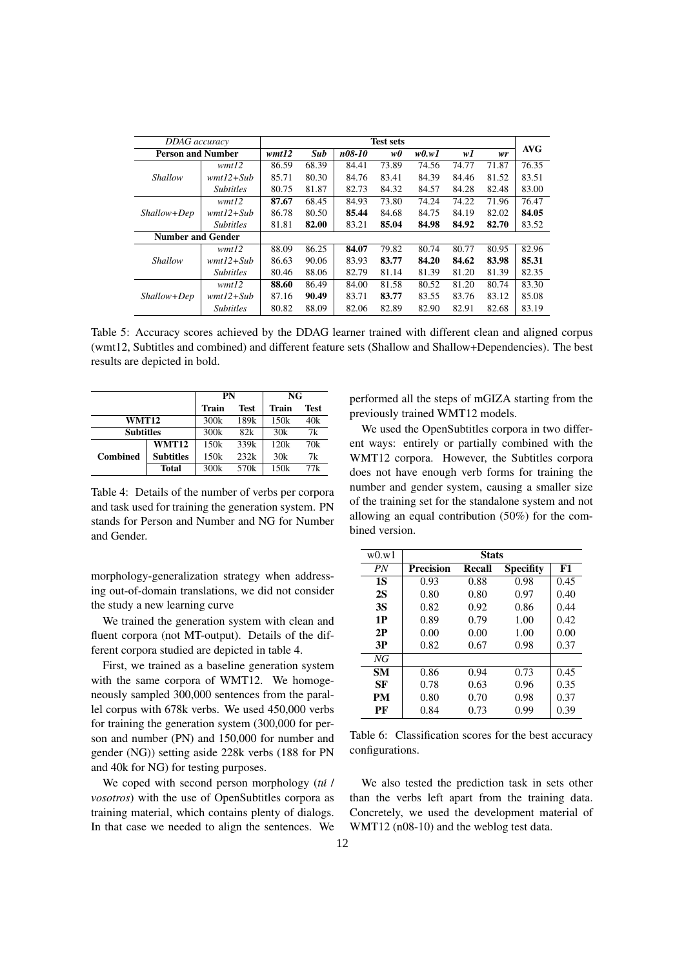| DDAG accuracy            |                  | <b>Test sets</b> |       |        |       |       |       |       |            |
|--------------------------|------------------|------------------|-------|--------|-------|-------|-------|-------|------------|
| <b>Person and Number</b> |                  | wmt12            | Sub   | n08-10 | w0    | w0.w1 | wI    | wr    | <b>AVG</b> |
|                          | wmt12            | 86.59            | 68.39 | 84.41  | 73.89 | 74.56 | 74.77 | 71.87 | 76.35      |
| Shallow                  | $wmtl2+Sub$      | 85.71            | 80.30 | 84.76  | 83.41 | 84.39 | 84.46 | 81.52 | 83.51      |
|                          | <b>Subtitles</b> | 80.75            | 81.87 | 82.73  | 84.32 | 84.57 | 84.28 | 82.48 | 83.00      |
|                          | wmt12            | 87.67            | 68.45 | 84.93  | 73.80 | 74.24 | 74.22 | 71.96 | 76.47      |
| Shallow+Dep              | $wmtl2+Sub$      | 86.78            | 80.50 | 85.44  | 84.68 | 84.75 | 84.19 | 82.02 | 84.05      |
|                          | <b>Subtitles</b> | 81.81            | 82.00 | 83.21  | 85.04 | 84.98 | 84.92 | 82.70 | 83.52      |
| <b>Number and Gender</b> |                  |                  |       |        |       |       |       |       |            |
|                          | wmt12            | 88.09            | 86.25 | 84.07  | 79.82 | 80.74 | 80.77 | 80.95 | 82.96      |
| Shallow                  | $wmtl2+Sub$      | 86.63            | 90.06 | 83.93  | 83.77 | 84.20 | 84.62 | 83.98 | 85.31      |
|                          | <b>Subtitles</b> | 80.46            | 88.06 | 82.79  | 81.14 | 81.39 | 81.20 | 81.39 | 82.35      |
|                          | wmt12            | 88.60            | 86.49 | 84.00  | 81.58 | 80.52 | 81.20 | 80.74 | 83.30      |
| $Shallow+Dep$            | $wmtl2+Sub$      | 87.16            | 90.49 | 83.71  | 83.77 | 83.55 | 83.76 | 83.12 | 85.08      |
|                          | <b>Subtitles</b> | 80.82            | 88.09 | 82.06  | 82.89 | 82.90 | 82.91 | 82.68 | 83.19      |

Table 5: Accuracy scores achieved by the DDAG learner trained with different clean and aligned corpus (wmt12, Subtitles and combined) and different feature sets (Shallow and Shallow+Dependencies). The best results are depicted in bold.

|                 |                  | PN    |      | NG    |      |
|-----------------|------------------|-------|------|-------|------|
|                 |                  | Train | Test | Train | Test |
| WMT12           |                  | 300k  | 189k | 150k  | 40k  |
|                 | <b>Subtitles</b> |       | 82k  | 30k   | 7k   |
|                 | <b>WMT12</b>     | 150k  | 339k | 120k  | 70k  |
| <b>Combined</b> | <b>Subtitles</b> | 150k  | 232k | 30k   | 7k   |
|                 | Total            | 300k  | 570k | 150k  | 77k  |

Table 4: Details of the number of verbs per corpora and task used for training the generation system. PN stands for Person and Number and NG for Number and Gender.

morphology-generalization strategy when addressing out-of-domain translations, we did not consider the study a new learning curve

We trained the generation system with clean and fluent corpora (not MT-output). Details of the different corpora studied are depicted in table 4.

First, we trained as a baseline generation system with the same corpora of WMT12. We homogeneously sampled 300,000 sentences from the parallel corpus with 678k verbs. We used 450,000 verbs for training the generation system (300,000 for person and number (PN) and 150,000 for number and gender (NG)) setting aside 228k verbs (188 for PN and 40k for NG) for testing purposes.

We coped with second person morphology (*tu´* / *vosotros*) with the use of OpenSubtitles corpora as training material, which contains plenty of dialogs. In that case we needed to align the sentences. We performed all the steps of mGIZA starting from the previously trained WMT12 models.

We used the OpenSubtitles corpora in two different ways: entirely or partially combined with the WMT12 corpora. However, the Subtitles corpora does not have enough verb forms for training the number and gender system, causing a smaller size of the training set for the standalone system and not allowing an equal contribution (50%) for the combined version.

| w0.w1     |                  | <b>Stats</b> |                  |      |
|-----------|------------------|--------------|------------------|------|
| PN        | <b>Precision</b> | Recall       | <b>Specifity</b> | F1   |
| <b>1S</b> | 0.93             | 0.88         | 0.98             | 0.45 |
| 2S        | 0.80             | 0.80         | 0.97             | 0.40 |
| <b>3S</b> | 0.82             | 0.92         | 0.86             | 0.44 |
| 1P        | 0.89             | 0.79         | 1.00             | 0.42 |
| 2P        | 0.00             | 0.00         | 1.00             | 0.00 |
| 3P        | 0.82             | 0.67         | 0.98             | 0.37 |
| NG        |                  |              |                  |      |
| <b>SM</b> | 0.86             | 0.94         | 0.73             | 0.45 |
| SF        | 0.78             | 0.63         | 0.96             | 0.35 |
| PM        | 0.80             | 0.70         | 0.98             | 0.37 |
| PF        | 0.84             | 0.73         | 0.99             | 0.39 |

Table 6: Classification scores for the best accuracy configurations.

We also tested the prediction task in sets other than the verbs left apart from the training data. Concretely, we used the development material of WMT12 (n08-10) and the weblog test data.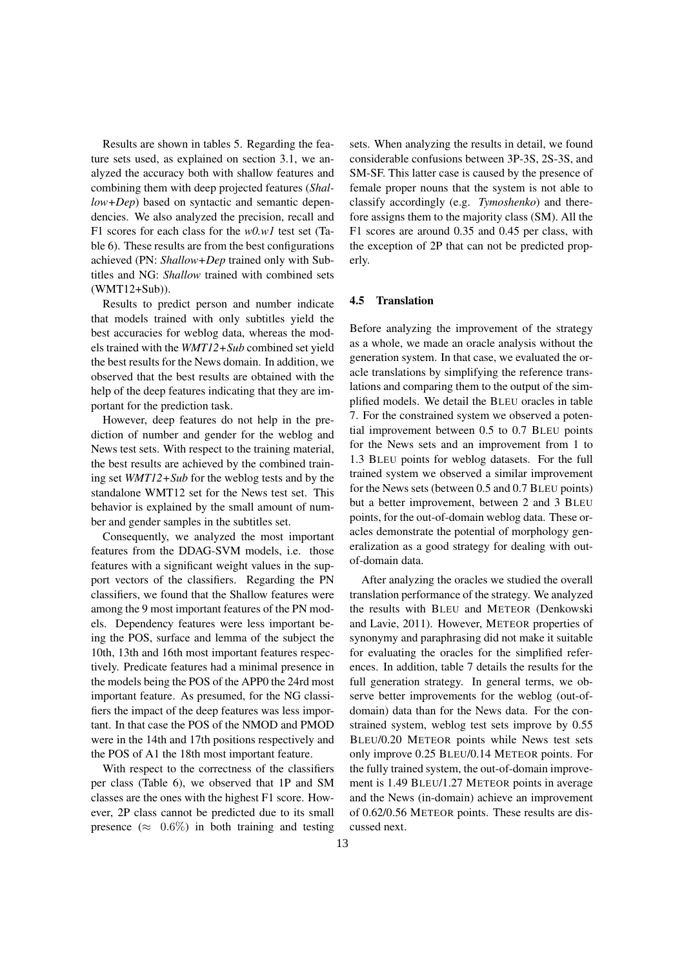Results are shown in tables 5. Regarding the feature sets used, as explained on section 3.1, we analyzed the accuracy both with shallow features and combining them with deep projected features (*Shallow+Dep*) based on syntactic and semantic dependencies. We also analyzed the precision, recall and F1 scores for each class for the *w0.w1* test set (Table 6). These results are from the best configurations achieved (PN: *Shallow+Dep* trained only with Subtitles and NG: *Shallow* trained with combined sets (WMT12+Sub)).

Results to predict person and number indicate that models trained with only subtitles yield the best accuracies for weblog data, whereas the models trained with the *WMT12+Sub* combined set yield the best results for the News domain. In addition, we observed that the best results are obtained with the help of the deep features indicating that they are important for the prediction task.

However, deep features do not help in the prediction of number and gender for the weblog and News test sets. With respect to the training material, the best results are achieved by the combined training set *WMT12+Sub* for the weblog tests and by the standalone WMT12 set for the News test set. This behavior is explained by the small amount of number and gender samples in the subtitles set.

Consequently, we analyzed the most important features from the DDAG-SVM models, i.e. those features with a significant weight values in the support vectors of the classifiers. Regarding the PN classifiers, we found that the Shallow features were among the 9 most important features of the PN models. Dependency features were less important being the POS, surface and lemma of the subject the 10th, 13th and 16th most important features respectively. Predicate features had a minimal presence in the models being the POS of the APP0 the 24rd most important feature. As presumed, for the NG classifiers the impact of the deep features was less important. In that case the POS of the NMOD and PMOD were in the 14th and 17th positions respectively and the POS of A1 the 18th most important feature.

With respect to the correctness of the classifiers per class (Table 6), we observed that 1P and SM classes are the ones with the highest F1 score. However, 2P class cannot be predicted due to its small presence ( $\approx$  0.6%) in both training and testing sets. When analyzing the results in detail, we found considerable confusions between 3P-3S, 2S-3S, and SM-SF. This latter case is caused by the presence of female proper nouns that the system is not able to classify accordingly (e.g. *Tymoshenko*) and therefore assigns them to the majority class (SM). All the F1 scores are around 0.35 and 0.45 per class, with the exception of 2P that can not be predicted properly.

#### 4.5 Translation

Before analyzing the improvement of the strategy as a whole, we made an oracle analysis without the generation system. In that case, we evaluated the oracle translations by simplifying the reference translations and comparing them to the output of the simplified models. We detail the BLEU oracles in table 7. For the constrained system we observed a potential improvement between 0.5 to 0.7 BLEU points for the News sets and an improvement from 1 to 1.3 BLEU points for weblog datasets. For the full trained system we observed a similar improvement for the News sets (between 0.5 and 0.7 BLEU points) but a better improvement, between 2 and 3 BLEU points, for the out-of-domain weblog data. These oracles demonstrate the potential of morphology generalization as a good strategy for dealing with outof-domain data.

After analyzing the oracles we studied the overall translation performance of the strategy. We analyzed the results with BLEU and METEOR (Denkowski and Lavie, 2011). However, METEOR properties of synonymy and paraphrasing did not make it suitable for evaluating the oracles for the simplified references. In addition, table 7 details the results for the full generation strategy. In general terms, we observe better improvements for the weblog (out-ofdomain) data than for the News data. For the constrained system, weblog test sets improve by 0.55 BLEU/0.20 METEOR points while News test sets only improve 0.25 BLEU/0.14 METEOR points. For the fully trained system, the out-of-domain improvement is 1.49 BLEU/1.27 METEOR points in average and the News (in-domain) achieve an improvement of 0.62/0.56 METEOR points. These results are discussed next.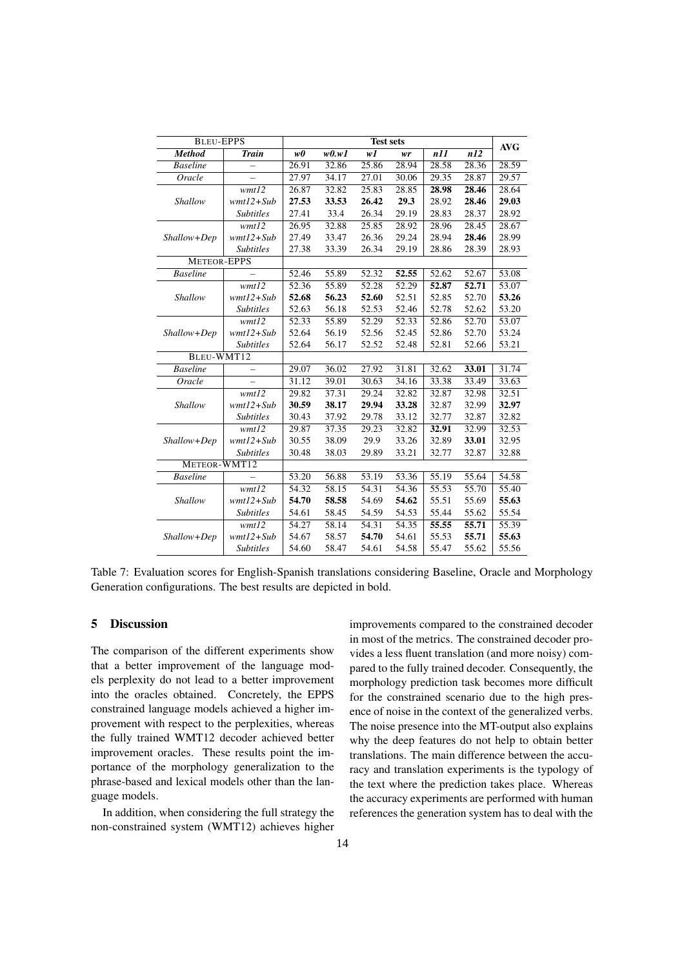| <b>BLEU-EPPS</b>   |                  |       |       | <b>Test sets</b> |                    |       |       | <b>AVG</b> |
|--------------------|------------------|-------|-------|------------------|--------------------|-------|-------|------------|
| <b>Method</b>      | <b>Train</b>     | w0    | w0.w1 | wI               | wr                 | n11   | n12   |            |
| <b>Baseline</b>    |                  | 26.91 | 32.86 | 25.86            | 28.94              | 28.58 | 28.36 | 28.59      |
| Oracle             |                  | 27.97 | 34.17 | 27.01            | 30.06              | 29.35 | 28.87 | 29.57      |
|                    | wmt12            | 26.87 | 32.82 | 25.83            | 28.85              | 28.98 | 28.46 | 28.64      |
| Shallow            | $wmtl2+Sub$      | 27.53 | 33.53 | 26.42            | 29.3               | 28.92 | 28.46 | 29.03      |
|                    | <b>Subtitles</b> | 27.41 | 33.4  | 26.34            | 29.19              | 28.83 | 28.37 | 28.92      |
|                    | wmt12            | 26.95 | 32.88 | 25.85            | 28.92              | 28.96 | 28.45 | 28.67      |
| Shallow+Dep        | $wmtl2 + Sub$    | 27.49 | 33.47 | 26.36            | 29.24              | 28.94 | 28.46 | 28.99      |
|                    | <b>Subtitles</b> | 27.38 | 33.39 | 26.34            | 29.19              | 28.86 | 28.39 | 28.93      |
| <b>METEOR-EPPS</b> |                  |       |       |                  |                    |       |       |            |
| <b>Baseline</b>    |                  | 52.46 | 55.89 | 52.32            | 52.55              | 52.62 | 52.67 | 53.08      |
|                    | wmt12            | 52.36 | 55.89 | 52.28            | 52.29              | 52.87 | 52.71 | 53.07      |
| Shallow            | $wmtl2 + Sub$    | 52.68 | 56.23 | 52.60            | 52.51              | 52.85 | 52.70 | 53.26      |
|                    | <b>Subtitles</b> | 52.63 | 56.18 | 52.53            | 52.46              | 52.78 | 52.62 | 53.20      |
|                    | wmt12            | 52.33 | 55.89 | 52.29            | 52.33              | 52.86 | 52.70 | 53.07      |
| Shallow+Dep        | $wmtl2 + Sub$    | 52.64 | 56.19 | 52.56            | 52.45              | 52.86 | 52.70 | 53.24      |
|                    | <b>Subtitles</b> | 52.64 | 56.17 | 52.52            | 52.48              | 52.81 | 52.66 | 53.21      |
| BLEU-WMT12         |                  |       |       |                  |                    |       |       |            |
| <b>Baseline</b>    |                  | 29.07 | 36.02 | 27.92            | 31.81              | 32.62 | 33.01 | 31.74      |
| Oracle             |                  | 31.12 | 39.01 | 30.63            | 34.16              | 33.38 | 33.49 | 33.63      |
|                    | wmt12            | 29.82 | 37.31 | 29.24            | 32.82              | 32.87 | 32.98 | 32.51      |
| Shallow            | $wmtl2 + Sub$    | 30.59 | 38.17 | 29.94            | 33.28              | 32.87 | 32.99 | 32.97      |
|                    | <b>Subtitles</b> | 30.43 | 37.92 | 29.78            | 33.12              | 32.77 | 32.87 | 32.82      |
|                    | wmt12            | 29.87 | 37.35 | 29.23            | 32.82              | 32.91 | 32.99 | 32.53      |
| Shallow+Dep        | $wmtl2 + Sub$    | 30.55 | 38.09 | 29.9             | 33.26              | 32.89 | 33.01 | 32.95      |
|                    | <b>Subtitles</b> | 30.48 | 38.03 | 29.89            | 33.21              | 32.77 | 32.87 | 32.88      |
| METEOR-WMT12       |                  |       |       |                  |                    |       |       |            |
| <b>Baseline</b>    |                  | 53.20 | 56.88 | 53.19            | 53.36              | 55.19 | 55.64 | 54.58      |
|                    | wmt12            | 54.32 | 58.15 | 54.31            | $\overline{54.36}$ | 55.53 | 55.70 | 55.40      |
| Shallow            | $wmtl2+Sub$      | 54.70 | 58.58 | 54.69            | 54.62              | 55.51 | 55.69 | 55.63      |
|                    | <b>Subtitles</b> | 54.61 | 58.45 | 54.59            | 54.53              | 55.44 | 55.62 | 55.54      |
|                    | wmt12            | 54.27 | 58.14 | 54.31            | 54.35              | 55.55 | 55.71 | 55.39      |
| Shallow+Dep        | $wmtl2 + Sub$    | 54.67 | 58.57 | 54.70            | 54.61              | 55.53 | 55.71 | 55.63      |
|                    | <b>Subtitles</b> | 54.60 | 58.47 | 54.61            | 54.58              | 55.47 | 55.62 | 55.56      |

Table 7: Evaluation scores for English-Spanish translations considering Baseline, Oracle and Morphology Generation configurations. The best results are depicted in bold.

## 5 Discussion

The comparison of the different experiments show that a better improvement of the language models perplexity do not lead to a better improvement into the oracles obtained. Concretely, the EPPS constrained language models achieved a higher improvement with respect to the perplexities, whereas the fully trained WMT12 decoder achieved better improvement oracles. These results point the importance of the morphology generalization to the phrase-based and lexical models other than the language models.

In addition, when considering the full strategy the non-constrained system (WMT12) achieves higher

improvements compared to the constrained decoder in most of the metrics. The constrained decoder provides a less fluent translation (and more noisy) compared to the fully trained decoder. Consequently, the morphology prediction task becomes more difficult for the constrained scenario due to the high presence of noise in the context of the generalized verbs. The noise presence into the MT-output also explains why the deep features do not help to obtain better translations. The main difference between the accuracy and translation experiments is the typology of the text where the prediction takes place. Whereas the accuracy experiments are performed with human references the generation system has to deal with the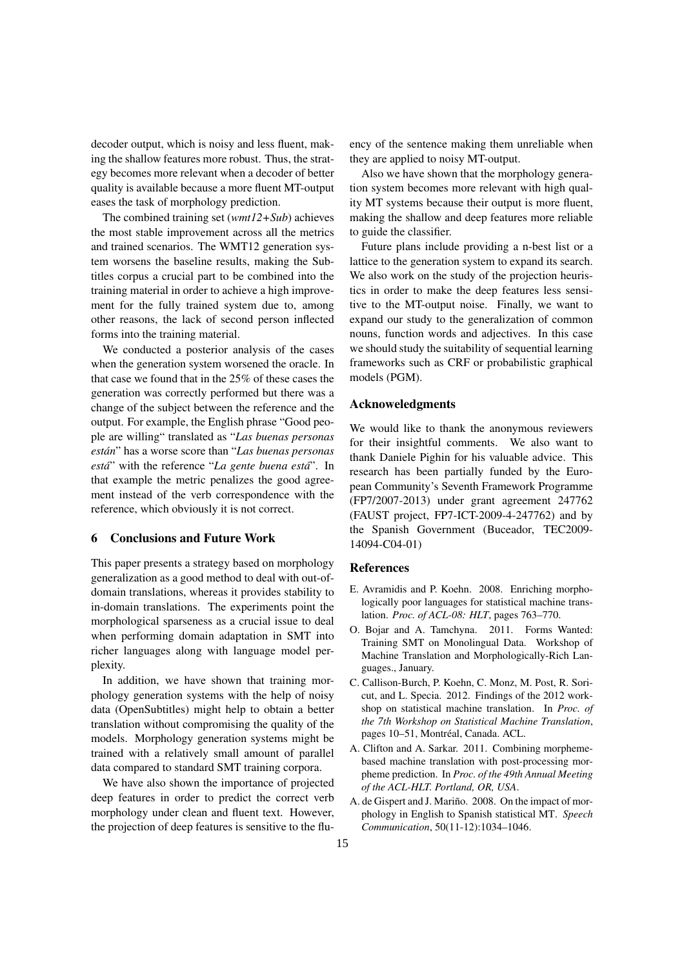decoder output, which is noisy and less fluent, making the shallow features more robust. Thus, the strategy becomes more relevant when a decoder of better quality is available because a more fluent MT-output eases the task of morphology prediction.

The combined training set (*wmt12+Sub*) achieves the most stable improvement across all the metrics and trained scenarios. The WMT12 generation system worsens the baseline results, making the Subtitles corpus a crucial part to be combined into the training material in order to achieve a high improvement for the fully trained system due to, among other reasons, the lack of second person inflected forms into the training material.

We conducted a posterior analysis of the cases when the generation system worsened the oracle. In that case we found that in the 25% of these cases the generation was correctly performed but there was a change of the subject between the reference and the output. For example, the English phrase "Good people are willing" translated as "*Las buenas personas están*" has a worse score than "Las buenas personas *esta´*" with the reference "*La gente buena esta´*". In that example the metric penalizes the good agreement instead of the verb correspondence with the reference, which obviously it is not correct.

## 6 Conclusions and Future Work

This paper presents a strategy based on morphology generalization as a good method to deal with out-ofdomain translations, whereas it provides stability to in-domain translations. The experiments point the morphological sparseness as a crucial issue to deal when performing domain adaptation in SMT into richer languages along with language model perplexity.

In addition, we have shown that training morphology generation systems with the help of noisy data (OpenSubtitles) might help to obtain a better translation without compromising the quality of the models. Morphology generation systems might be trained with a relatively small amount of parallel data compared to standard SMT training corpora.

We have also shown the importance of projected deep features in order to predict the correct verb morphology under clean and fluent text. However, the projection of deep features is sensitive to the fluency of the sentence making them unreliable when they are applied to noisy MT-output.

Also we have shown that the morphology generation system becomes more relevant with high quality MT systems because their output is more fluent, making the shallow and deep features more reliable to guide the classifier.

Future plans include providing a n-best list or a lattice to the generation system to expand its search. We also work on the study of the projection heuristics in order to make the deep features less sensitive to the MT-output noise. Finally, we want to expand our study to the generalization of common nouns, function words and adjectives. In this case we should study the suitability of sequential learning frameworks such as CRF or probabilistic graphical models (PGM).

#### Acknoweledgments

We would like to thank the anonymous reviewers for their insightful comments. We also want to thank Daniele Pighin for his valuable advice. This research has been partially funded by the European Community's Seventh Framework Programme (FP7/2007-2013) under grant agreement 247762 (FAUST project, FP7-ICT-2009-4-247762) and by the Spanish Government (Buceador, TEC2009- 14094-C04-01)

#### References

- E. Avramidis and P. Koehn. 2008. Enriching morphologically poor languages for statistical machine translation. *Proc. of ACL-08: HLT*, pages 763–770.
- O. Bojar and A. Tamchyna. 2011. Forms Wanted: Training SMT on Monolingual Data. Workshop of Machine Translation and Morphologically-Rich Languages., January.
- C. Callison-Burch, P. Koehn, C. Monz, M. Post, R. Soricut, and L. Specia. 2012. Findings of the 2012 workshop on statistical machine translation. In *Proc. of the 7th Workshop on Statistical Machine Translation*, pages 10–51, Montréal, Canada. ACL.
- A. Clifton and A. Sarkar. 2011. Combining morphemebased machine translation with post-processing morpheme prediction. In *Proc. of the 49th Annual Meeting of the ACL-HLT. Portland, OR, USA*.
- A. de Gispert and J. Mariño. 2008. On the impact of morphology in English to Spanish statistical MT. *Speech Communication*, 50(11-12):1034–1046.